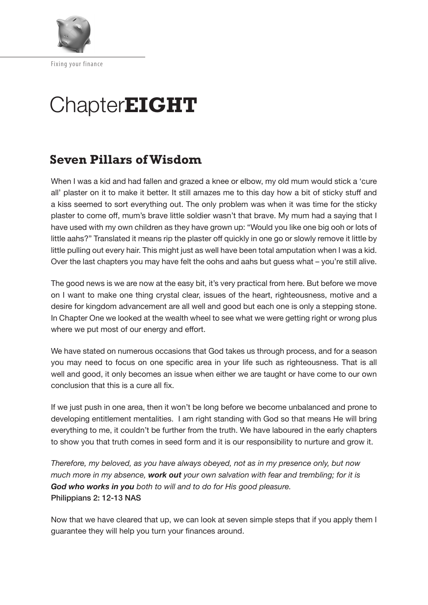

# Chapter**EIGHT**

# **Seven Pillars of Wisdom**

When I was a kid and had fallen and grazed a knee or elbow, my old mum would stick a 'cure all' plaster on it to make it better. It still amazes me to this day how a bit of sticky stuff and a kiss seemed to sort everything out. The only problem was when it was time for the sticky plaster to come off, mum's brave little soldier wasn't that brave. My mum had a saying that I have used with my own children as they have grown up: "Would you like one big ooh or lots of little aahs?" Translated it means rip the plaster of quickly in one go or slowly remove it little by little pulling out every hair. This might just as well have been total amputation when I was a kid. Over the last chapters you may have felt the oohs and aahs but guess what – you're still alive.

The good news is we are now at the easy bit, it's very practical from here. But before we move on I want to make one thing crystal clear, issues of the heart, righteousness, motive and a desire for kingdom advancement are all well and good but each one is only a stepping stone. In Chapter One we looked at the wealth wheel to see what we were getting right or wrong plus where we put most of our energy and effort.

We have stated on numerous occasions that God takes us through process, and for a season you may need to focus on one specific area in your life such as righteousness. That is all well and good, it only becomes an issue when either we are taught or have come to our own conclusion that this is a cure all fx.

If we just push in one area, then it won't be long before we become unbalanced and prone to developing entitlement mentalities. I am right standing with God so that means He will bring everything to me, it couldn't be further from the truth. We have laboured in the early chapters to show you that truth comes in seed form and it is our responsibility to nurture and grow it.

*Therefore, my beloved, as you have always obeyed, not as in my presence only, but now much more in my absence, work out your own salvation with fear and trembling; for it is God who works in you both to will and to do for His good pleasure.*  Philippians 2: 12-13 NAS

Now that we have cleared that up, we can look at seven simple steps that if you apply them I guarantee they will help you turn your finances around.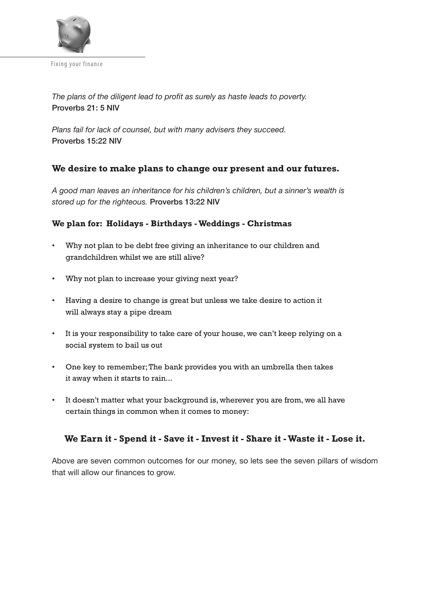

The plans of the diligent lead to profit as surely as haste leads to poverty. Proverbs 21: 5 NIV

*Plans fail for lack of counsel, but with many advisers they succeed.*  Proverbs 15:22 NIV

# **We desire to make plans to change our present and our futures.**

*A good man leaves an inheritance for his children's children, but a sinner's wealth is stored up for the righteous.* Proverbs 13:22 NIV

#### **We plan for: Holidays - Birthdays - Weddings - Christmas**

- Why not plan to be debt free giving an inheritance to our children and grandchildren whilst we are still alive?
- Why not plan to increase your giving next year?
- Having a desire to change is great but unless we take desire to action it will always stay a pipe dream
- It is your responsibility to take care of your house, we can't keep relying on a social system to bail us out
- One key to remember; The bank provides you with an umbrella then takes it away when it starts to rain...
- It doesn't matter what your background is, wherever you are from, we all have certain things in common when it comes to money:

# **We Earn it - Spend it - Save it - Invest it - Share it - Waste it - Lose it.**

Above are seven common outcomes for our money, so lets see the seven pillars of wisdom that will allow our finances to grow.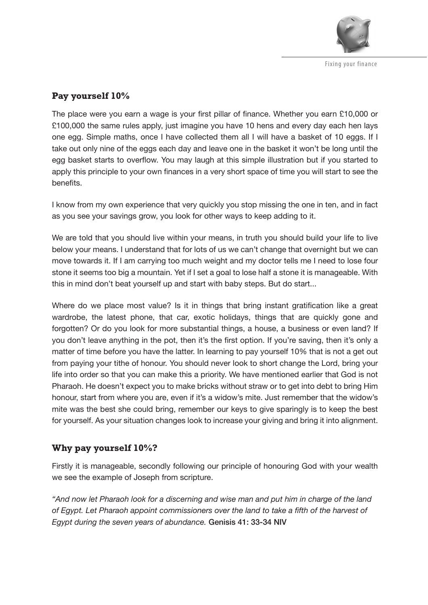

# **Pay yourself 10%**

The place were you earn a wage is your first pillar of finance. Whether you earn £10,000 or £100,000 the same rules apply, just imagine you have 10 hens and every day each hen lays one egg. Simple maths, once I have collected them all I will have a basket of 10 eggs. If I take out only nine of the eggs each day and leave one in the basket it won't be long until the egg basket starts to overflow. You may laugh at this simple illustration but if you started to apply this principle to your own finances in a very short space of time you will start to see the benefits.

I know from my own experience that very quickly you stop missing the one in ten, and in fact as you see your savings grow, you look for other ways to keep adding to it.

We are told that you should live within your means, in truth you should build your life to live below your means. I understand that for lots of us we can't change that overnight but we can move towards it. If I am carrying too much weight and my doctor tells me I need to lose four stone it seems too big a mountain. Yet if I set a goal to lose half a stone it is manageable. With this in mind don't beat yourself up and start with baby steps. But do start...

Where do we place most value? Is it in things that bring instant gratification like a great wardrobe, the latest phone, that car, exotic holidays, things that are quickly gone and forgotten? Or do you look for more substantial things, a house, a business or even land? If you don't leave anything in the pot, then it's the frst option. If you're saving, then it's only a matter of time before you have the latter. In learning to pay yourself 10% that is not a get out from paying your tithe of honour. You should never look to short change the Lord, bring your life into order so that you can make this a priority. We have mentioned earlier that God is not Pharaoh. He doesn't expect you to make bricks without straw or to get into debt to bring Him honour, start from where you are, even if it's a widow's mite. Just remember that the widow's mite was the best she could bring, remember our keys to give sparingly is to keep the best for yourself. As your situation changes look to increase your giving and bring it into alignment.

# **Why pay yourself 10%?**

Firstly it is manageable, secondly following our principle of honouring God with your wealth we see the example of Joseph from scripture.

*"And now let Pharaoh look for a discerning and wise man and put him in charge of the land of Egypt. Let Pharaoh appoint commissioners over the land to take a ffth of the harvest of Egypt during the seven years of abundance.* Genisis 41: 33-34 NIV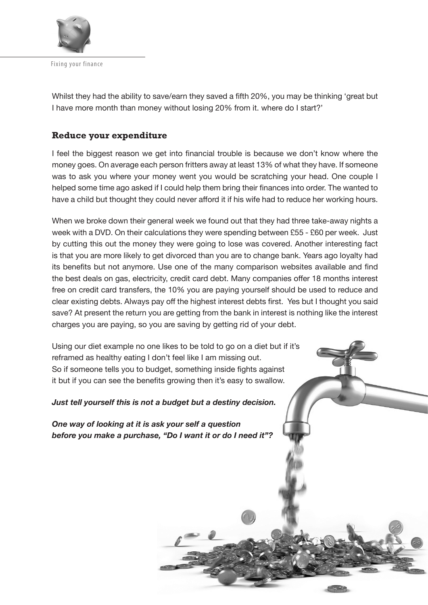

Whilst they had the ability to save/earn they saved a ffth 20%, you may be thinking 'great but I have more month than money without losing 20% from it. where do I start?'

# **Reduce your expenditure**

I feel the biggest reason we get into financial trouble is because we don't know where the money goes. On average each person fritters away at least 13% of what they have. If someone was to ask you where your money went you would be scratching your head. One couple I helped some time ago asked if I could help them bring their finances into order. The wanted to have a child but thought they could never afford it if his wife had to reduce her working hours.

When we broke down their general week we found out that they had three take-away nights a week with a DVD. On their calculations they were spending between £55 - £60 per week. Just by cutting this out the money they were going to lose was covered. Another interesting fact is that you are more likely to get divorced than you are to change bank. Years ago loyalty had its benefits but not anymore. Use one of the many comparison websites available and find the best deals on gas, electricity, credit card debt. Many companies offer 18 months interest free on credit card transfers, the 10% you are paying yourself should be used to reduce and clear existing debts. Always pay off the highest interest debts first. Yes but I thought you said save? At present the return you are getting from the bank in interest is nothing like the interest charges you are paying, so you are saving by getting rid of your debt.

Using our diet example no one likes to be told to go on a diet but if it's reframed as healthy eating I don't feel like I am missing out. So if someone tells you to budget, something inside fights against it but if you can see the benefits growing then it's easy to swallow.

#### *Just tell yourself this is not a budget but a destiny decision.*

*One way of looking at it is ask your self a question before you make a purchase, "Do I want it or do I need it"?*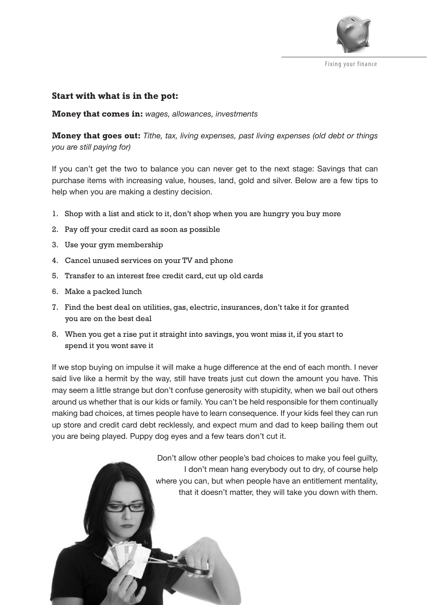

### **Start with what is in the pot:**

**Money that comes in:** *wages, allowances, investments*

**Money that goes out:** *Tithe, tax, living expenses, past living expenses (old debt or things you are still paying for)*

If you can't get the two to balance you can never get to the next stage: Savings that can purchase items with increasing value, houses, land, gold and silver. Below are a few tips to help when you are making a destiny decision.

- 1. Shop with a list and stick to it, don't shop when you are hungry you buy more
- 2. Pay off your credit card as soon as possible
- 3. Use your gym membership
- 4. Cancel unused services on your TV and phone
- 5. Transfer to an interest free credit card, cut up old cards
- 6. Make a packed lunch
- 7. Find the best deal on utilities, gas, electric, insurances, don't take it for granted you are on the best deal
- 8. When you get a rise put it straight into savings, you wont miss it, if you start to spend it you wont save it

If we stop buying on impulse it will make a huge diference at the end of each month. I never said live like a hermit by the way, still have treats just cut down the amount you have. This may seem a little strange but don't confuse generosity with stupidity, when we bail out others around us whether that is our kids or family. You can't be held responsible for them continually making bad choices, at times people have to learn consequence. If your kids feel they can run up store and credit card debt recklessly, and expect mum and dad to keep bailing them out you are being played. Puppy dog eyes and a few tears don't cut it.

> Don't allow other people's bad choices to make you feel guilty, I don't mean hang everybody out to dry, of course help where you can, but when people have an entitlement mentality, that it doesn't matter, they will take you down with them.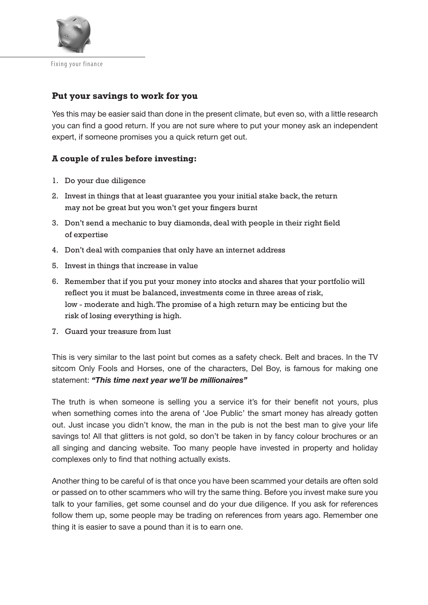

## **Put your savings to work for you**

Yes this may be easier said than done in the present climate, but even so, with a little research you can find a good return. If you are not sure where to put your money ask an independent expert, if someone promises you a quick return get out.

#### **A couple of rules before investing:**

- 1. Do your due diligence
- 2. Invest in things that at least guarantee you your initial stake back, the return may not be great but you won't get your fingers burnt
- 3. Don't send a mechanic to buy diamonds, deal with people in their right field of expertise
- 4. Don't deal with companies that only have an internet address
- 5. Invest in things that increase in value
- 6. Remember that if you put your money into stocks and shares that your portfolio will reflect you it must be balanced, investments come in three areas of risk, low - moderate and high. The promise of a high return may be enticing but the risk of losing everything is high.
- 7. Guard your treasure from lust

This is very similar to the last point but comes as a safety check. Belt and braces. In the TV sitcom Only Fools and Horses, one of the characters, Del Boy, is famous for making one statement: *"This time next year we'll be millionaires"*

The truth is when someone is selling you a service it's for their benefit not yours, plus when something comes into the arena of 'Joe Public' the smart money has already gotten out. Just incase you didn't know, the man in the pub is not the best man to give your life savings to! All that glitters is not gold, so don't be taken in by fancy colour brochures or an all singing and dancing website. Too many people have invested in property and holiday complexes only to find that nothing actually exists.

Another thing to be careful of is that once you have been scammed your details are often sold or passed on to other scammers who will try the same thing. Before you invest make sure you talk to your families, get some counsel and do your due diligence. If you ask for references follow them up, some people may be trading on references from years ago. Remember one thing it is easier to save a pound than it is to earn one.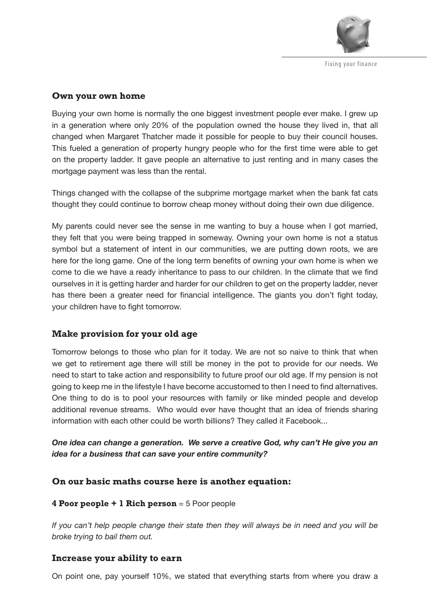

#### **Own your own home**

Buying your own home is normally the one biggest investment people ever make. I grew up in a generation where only 20% of the population owned the house they lived in, that all changed when Margaret Thatcher made it possible for people to buy their council houses. This fueled a generation of property hungry people who for the frst time were able to get on the property ladder. It gave people an alternative to just renting and in many cases the mortgage payment was less than the rental.

Things changed with the collapse of the subprime mortgage market when the bank fat cats thought they could continue to borrow cheap money without doing their own due diligence.

My parents could never see the sense in me wanting to buy a house when I got married, they felt that you were being trapped in someway. Owning your own home is not a status symbol but a statement of intent in our communities, we are putting down roots, we are here for the long game. One of the long term benefts of owning your own home is when we come to die we have a ready inheritance to pass to our children. In the climate that we fnd ourselves in it is getting harder and harder for our children to get on the property ladder, never has there been a greater need for financial intelligence. The giants you don't fight today, your children have to fight tomorrow.

# **Make provision for your old age**

Tomorrow belongs to those who plan for it today. We are not so naive to think that when we get to retirement age there will still be money in the pot to provide for our needs. We need to start to take action and responsibility to future proof our old age. If my pension is not going to keep me in the lifestyle I have become accustomed to then I need to fnd alternatives. One thing to do is to pool your resources with family or like minded people and develop additional revenue streams. Who would ever have thought that an idea of friends sharing information with each other could be worth billions? They called it Facebook...

### *One idea can change a generation. We serve a creative God, why can't He give you an idea for a business that can save your entire community?*

#### **On our basic maths course here is another equation:**

#### **4 Poor people + 1 Rich person** = 5 Poor people

*If you can't help people change their state then they will always be in need and you will be broke trying to bail them out.*

#### **Increase your ability to earn**

On point one, pay yourself 10%, we stated that everything starts from where you draw a